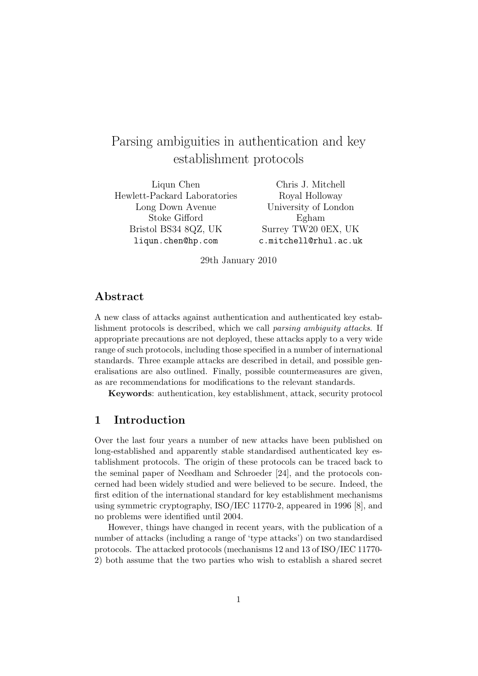# Parsing ambiguities in authentication and key establishment protocols

Liqun Chen Hewlett-Packard Laboratories Long Down Avenue Stoke Gifford Bristol BS34 8QZ, UK liqun.chen@hp.com

Chris J. Mitchell Royal Holloway University of London Egham Surrey TW20 0EX, UK c.mitchell@rhul.ac.uk

29th January 2010

# **Abstract**

A new class of attacks against authentication and authenticated key establishment protocols is described, which we call *parsing ambiguity attacks*. If appropriate precautions are not deployed, these attacks apply to a very wide range of such protocols, including those specified in a number of international standards. Three example attacks are described in detail, and possible generalisations are also outlined. Finally, possible countermeasures are given, as are recommendations for modifications to the relevant standards.

**Keywords**: authentication, key establishment, attack, security protocol

# **1 Introduction**

Over the last four years a number of new attacks have been published on long-established and apparently stable standardised authenticated key establishment protocols. The origin of these protocols can be traced back to the seminal paper of Needham and Schroeder [24], and the protocols concerned had been widely studied and were believed to be secure. Indeed, the first edition of the international standard for key establishment mechanisms using symmetric cryptography, ISO/IEC 11770-2, appeared in 1996 [8], and no problems were identified until 2004.

However, things have changed in recent years, with the publication of a number of attacks (including a range of 'type attacks') on two standardised protocols. The attacked protocols (mechanisms 12 and 13 of ISO/IEC 11770- 2) both assume that the two parties who wish to establish a shared secret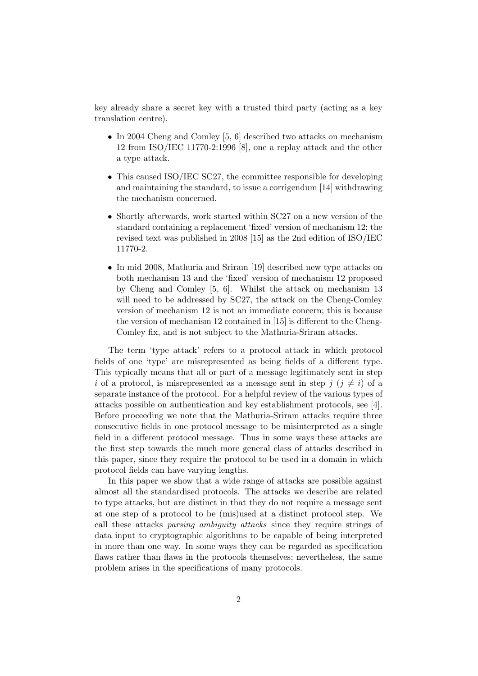key already share a secret key with a trusted third party (acting as a key translation centre).

- In 2004 Cheng and Comley [5, 6] described two attacks on mechanism 12 from ISO/IEC 11770-2:1996 [8], one a replay attack and the other a type attack.
- This caused ISO/IEC SC27, the committee responsible for developing and maintaining the standard, to issue a corrigendum [14] withdrawing the mechanism concerned.
- *•* Shortly afterwards, work started within SC27 on a new version of the standard containing a replacement 'fixed' version of mechanism 12; the revised text was published in 2008 [15] as the 2nd edition of ISO/IEC 11770-2.
- In mid 2008, Mathuria and Sriram [19] described new type attacks on both mechanism 13 and the 'fixed' version of mechanism 12 proposed by Cheng and Comley [5, 6]. Whilst the attack on mechanism 13 will need to be addressed by SC27, the attack on the Cheng-Comley version of mechanism 12 is not an immediate concern; this is because the version of mechanism 12 contained in [15] is different to the Cheng-Comley fix, and is not subject to the Mathuria-Sriram attacks.

The term 'type attack' refers to a protocol attack in which protocol fields of one 'type' are misrepresented as being fields of a different type. This typically means that all or part of a message legitimately sent in step *i* of a protocol, is misrepresented as a message sent in step *j*  $(i \neq i)$  of a separate instance of the protocol. For a helpful review of the various types of attacks possible on authentication and key establishment protocols, see [4]. Before proceeding we note that the Mathuria-Sriram attacks require three consecutive fields in one protocol message to be misinterpreted as a single field in a different protocol message. Thus in some ways these attacks are the first step towards the much more general class of attacks described in this paper, since they require the protocol to be used in a domain in which protocol fields can have varying lengths.

In this paper we show that a wide range of attacks are possible against almost all the standardised protocols. The attacks we describe are related to type attacks, but are distinct in that they do not require a message sent at one step of a protocol to be (mis)used at a distinct protocol step. We call these attacks *parsing ambiguity attacks* since they require strings of data input to cryptographic algorithms to be capable of being interpreted in more than one way. In some ways they can be regarded as specification flaws rather than flaws in the protocols themselves; nevertheless, the same problem arises in the specifications of many protocols.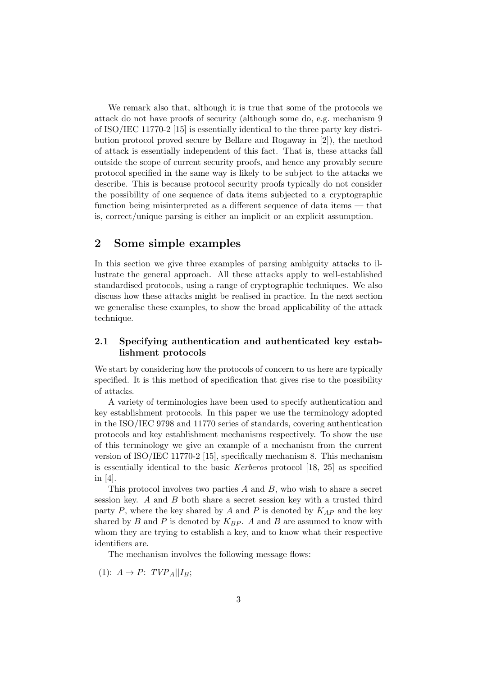We remark also that, although it is true that some of the protocols we attack do not have proofs of security (although some do, e.g. mechanism 9 of ISO/IEC 11770-2 [15] is essentially identical to the three party key distribution protocol proved secure by Bellare and Rogaway in [2]), the method of attack is essentially independent of this fact. That is, these attacks fall outside the scope of current security proofs, and hence any provably secure protocol specified in the same way is likely to be subject to the attacks we describe. This is because protocol security proofs typically do not consider the possibility of one sequence of data items subjected to a cryptographic function being misinterpreted as a different sequence of data items — that is, correct/unique parsing is either an implicit or an explicit assumption.

## **2 Some simple examples**

In this section we give three examples of parsing ambiguity attacks to illustrate the general approach. All these attacks apply to well-established standardised protocols, using a range of cryptographic techniques. We also discuss how these attacks might be realised in practice. In the next section we generalise these examples, to show the broad applicability of the attack technique.

### **2.1 Specifying authentication and authenticated key establishment protocols**

We start by considering how the protocols of concern to us here are typically specified. It is this method of specification that gives rise to the possibility of attacks.

A variety of terminologies have been used to specify authentication and key establishment protocols. In this paper we use the terminology adopted in the ISO/IEC 9798 and 11770 series of standards, covering authentication protocols and key establishment mechanisms respectively. To show the use of this terminology we give an example of a mechanism from the current version of ISO/IEC 11770-2 [15], specifically mechanism 8. This mechanism is essentially identical to the basic *Kerberos* protocol [18, 25] as specified in [4].

This protocol involves two parties *A* and *B*, who wish to share a secret session key. *A* and *B* both share a secret session key with a trusted third party *P*, where the key shared by *A* and *P* is denoted by  $K_{AP}$  and the key shared by  $B$  and  $P$  is denoted by  $K_{BP}$ .  $A$  and  $B$  are assumed to know with whom they are trying to establish a key, and to know what their respective identifiers are.

The mechanism involves the following message flows:

 $(1): A \rightarrow P: TVP_A || I_B;$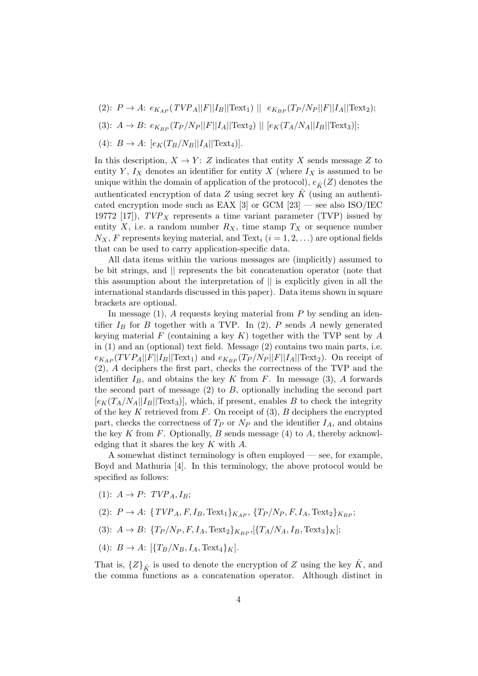- (2):  $P \to A: e_{K_{AP}}(TVP_A||F||I_B||\text{Text}_1) || e_{K_{BP}}(T_P/N_P||F||I_A||\text{Text}_2);$
- (3):  $A \to B: e_{K_{BP}}(T_P/N_P||F||I_A||\text{Text}_2) || [e_K(T_A/N_A||I_B||\text{Text}_3)];$
- $(4): B \to A: [e_K(T_B/N_B||I_A||\text{Text}_4)].$

In this description,  $X \to Y$ : *Z* indicates that entity *X* sends message *Z* to entity *Y*,  $I_X$  denotes an identifier for entity *X* (where  $I_X$  is assumed to be unique within the domain of application of the protocol),  $e_{\hat{K}}(Z)$  denotes the authenticated encryption of data *Z* using secret key *K*ˆ (using an authenticated encryption mode such as EAX [3] or GCM  $[23]$  — see also ISO/IEC 19772 [17]),  $TVP<sub>X</sub>$  represents a time variant parameter (TVP) issued by entity *X*, i.e. a random number  $R_X$ , time stamp  $T_X$  or sequence number  $N_X$ , *F* represents keying material, and Text<sub>*i*</sub> ( $i = 1, 2, \ldots$ ) are optional fields that can be used to carry application-specific data.

All data items within the various messages are (implicitly) assumed to be bit strings, and *||* represents the bit concatenation operator (note that this assumption about the interpretation of *||* is explicitly given in all the international standards discussed in this paper). Data items shown in square brackets are optional.

In message (1), *A* requests keying material from *P* by sending an identifier  $I_B$  for *B* together with a TVP. In  $(2)$ , *P* sends *A* newly generated keying material *F* (containing a key *K*) together with the TVP sent by *A* in (1) and an (optional) text field. Message (2) contains two main parts, i.e.  $e_{K_{AP}}(TVP_A||F||I_B||\text{Text}_1)$  and  $e_{K_{BP}}(T_P/N_P||F||I_A||\text{Text}_2)$ . On receipt of (2), *A* deciphers the first part, checks the correctness of the TVP and the identifier  $I_B$ , and obtains the key  $K$  from  $F$ . In message (3),  $A$  forwards the second part of message (2) to *B*, optionally including the second part  $[e_K(T_A/N_A||I_B||\text{Text}_3)]$ , which, if present, enables *B* to check the integrity of the key *K* retrieved from *F*. On receipt of (3), *B* deciphers the encrypted part, checks the correctness of  $T_P$  or  $N_P$  and the identifier  $I_A$ , and obtains the key *K* from *F*. Optionally, *B* sends message (4) to *A*, thereby acknowledging that it shares the key *K* with *A*.

A somewhat distinct terminology is often employed — see, for example, Boyd and Mathuria [4]. In this terminology, the above protocol would be specified as follows:

- $(1): A \rightarrow P: TVP_A, I_B;$
- (2):  $P \to A: \{ TVP_A, F, I_B, \text{Text}_1 \}_{K_{AP}}, \{ T_P/N_P, F, I_A, \text{Text}_2 \}_{K_{BP}}$
- (3):  $A \to B: \{T_P/N_P, F, I_A, \text{Text}_2\}_{K_{BP}} [\{T_A/N_A, I_B, \text{Text}_3\}_K];$
- $(4): B \to A: [\{T_B/N_B, I_A, \text{Text}_4\}_K].$

That is,  $\{Z\}_{\hat{K}}$  is used to denote the encryption of *Z* using the key  $\hat{K}$ , and the comma functions as a concatenation operator. Although distinct in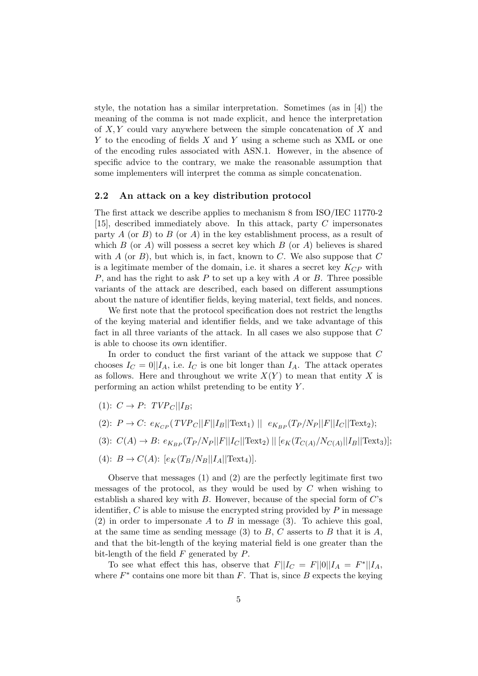style, the notation has a similar interpretation. Sometimes (as in [4]) the meaning of the comma is not made explicit, and hence the interpretation of *X, Y* could vary anywhere between the simple concatenation of *X* and *Y* to the encoding of fields *X* and *Y* using a scheme such as XML or one of the encoding rules associated with ASN.1. However, in the absence of specific advice to the contrary, we make the reasonable assumption that some implementers will interpret the comma as simple concatenation.

#### **2.2 An attack on a key distribution protocol**

The first attack we describe applies to mechanism 8 from ISO/IEC 11770-2 [15], described immediately above. In this attack, party *C* impersonates party *A* (or *B*) to *B* (or *A*) in the key establishment process, as a result of which *B* (or *A*) will possess a secret key which *B* (or *A*) believes is shared with  $A$  (or  $B$ ), but which is, in fact, known to  $C$ . We also suppose that  $C$ is a legitimate member of the domain, i.e. it shares a secret key *KCP* with *P*, and has the right to ask *P* to set up a key with *A* or *B*. Three possible variants of the attack are described, each based on different assumptions about the nature of identifier fields, keying material, text fields, and nonces.

We first note that the protocol specification does not restrict the lengths of the keying material and identifier fields, and we take advantage of this fact in all three variants of the attack. In all cases we also suppose that *C* is able to choose its own identifier.

In order to conduct the first variant of the attack we suppose that *C* chooses  $I_C = 0||I_A$ , i.e.  $I_C$  is one bit longer than  $I_A$ . The attack operates as follows. Here and throughout we write  $X(Y)$  to mean that entity X is performing an action whilst pretending to be entity *Y* .

- $(1): C \rightarrow P: TVP_C||I_B;$
- (2):  $P \to C: e_{K_{CP}}(TVP_C||F||I_B||\text{Text}_1) || e_{K_{BP}}(T_P/N_P||F||I_C||\text{Text}_2);$
- (3):  $C(A) \to B: e_{K_{BP}}(T_P/N_P||F||I_C||\text{Text}_2) || [e_K(T_{C(A)}/N_{C(A)}||I_B||\text{Text}_3)];$
- $(4): B \to C(A): [e_K(T_B/N_B||I_A||\text{Text}_4)].$

Observe that messages (1) and (2) are the perfectly legitimate first two messages of the protocol, as they would be used by *C* when wishing to establish a shared key with *B*. However, because of the special form of *C*'s identifier,  $C$  is able to misuse the encrypted string provided by  $P$  in message (2) in order to impersonate *A* to *B* in message (3). To achieve this goal, at the same time as sending message (3) to *B*, *C* asserts to *B* that it is *A*, and that the bit-length of the keying material field is one greater than the bit-length of the field *F* generated by *P*.

To see what effect this has, observe that  $F||I_C = F||0||I_A = F^*||I_A$ , where  $F^*$  contains one more bit than  $F$ . That is, since  $B$  expects the keying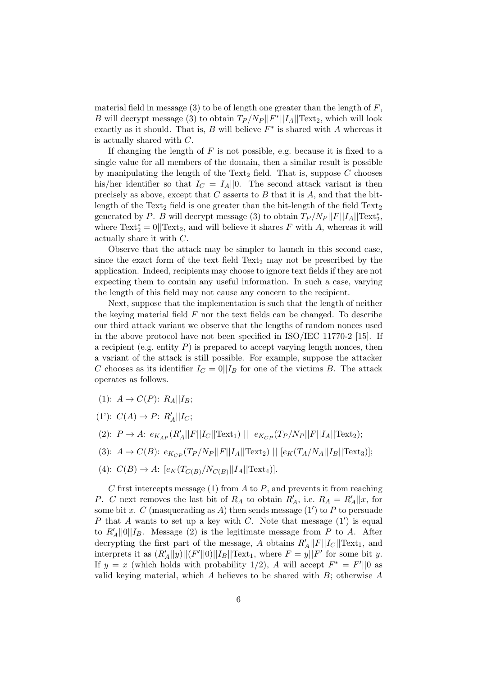material field in message (3) to be of length one greater than the length of *F*, *B* will decrypt message (3) to obtain  $T_P/N_P||F^*||I_A||\text{Text}_2$ , which will look exactly as it should. That is,  $B$  will believe  $F^*$  is shared with  $A$  whereas it is actually shared with *C*.

If changing the length of *F* is not possible, e.g. because it is fixed to a single value for all members of the domain, then a similar result is possible by manipulating the length of the Text<sub>2</sub> field. That is, suppose  $C$  chooses his/her identifier so that  $I_C = I_A || 0$ . The second attack variant is then precisely as above, except that *C* asserts to *B* that it is *A*, and that the bitlength of the Text<sub>2</sub> field is one greater than the bit-length of the field  $Text_2$ generated by *P*. *B* will decrypt message (3) to obtain  $T_P/N_P||F||I_A||\text{Text}_2^*$ , where  $\text{Text}_2^* = 0$ ||Text<sub>2</sub>, and will believe it shares *F* with *A*, whereas it will actually share it with *C*.

Observe that the attack may be simpler to launch in this second case, since the exact form of the text field  $Text_2$  may not be prescribed by the application. Indeed, recipients may choose to ignore text fields if they are not expecting them to contain any useful information. In such a case, varying the length of this field may not cause any concern to the recipient.

Next, suppose that the implementation is such that the length of neither the keying material field *F* nor the text fields can be changed. To describe our third attack variant we observe that the lengths of random nonces used in the above protocol have not been specified in ISO/IEC 11770-2 [15]. If a recipient (e.g. entity *P*) is prepared to accept varying length nonces, then a variant of the attack is still possible. For example, suppose the attacker *C* chooses as its identifier  $I_C = 0||I_B$  for one of the victims *B*. The attack operates as follows.

- $(1): A \to C(P): R_A||I_B;$
- $(1')$ :  $C(A) \to P$ :  $R'_A||I_C$ ;
- (2):  $P \to A: e_{K_{AP}}(R_A'||F||I_C||\text{Text}_1)||e_{K_{CP}}(T_P/N_P||F||I_A||\text{Text}_2);$
- (3):  $A \to C(B)$ :  $e_{K_{CP}}(T_P/N_P||F||I_A||\text{Text}_2)$  ||  $[e_K(T_A/N_A||I_B||\text{Text}_3)]$ ;
- $(4):$   $C(B) \to A:$   $[e_K(T_{C(B)}/N_{C(B)}||I_A||\text{Text}_4)].$

*C* first intercepts message (1) from *A* to *P*, and prevents it from reaching *P*. *C* next removes the last bit of  $R_A$  to obtain  $R'_A$ , i.e.  $R_A = R'_A || x$ , for some bit *x*. *C* (masquerading as *A*) then sends message (1*′* ) to *P* to persuade *P* that *A* wants to set up a key with *C*. Note that message (1*′* ) is equal to  $R'_{A}||0||I_{B}$ . Message (2) is the legitimate message from  $P$  to  $A$ . After decrypting the first part of the message, *A* obtains  $R'_{A}||F||I_{C}||\text{Text}_1$ , and interprets it as  $(R'_{A}||y)||(F'||0)||I_{B}||\text{Text}_1$ , where  $F = y||F'$  for some bit *y*. If  $y = x$  (which holds with probability 1/2), *A* will accept  $F^* = F'||0$  as valid keying material, which *A* believes to be shared with *B*; otherwise *A*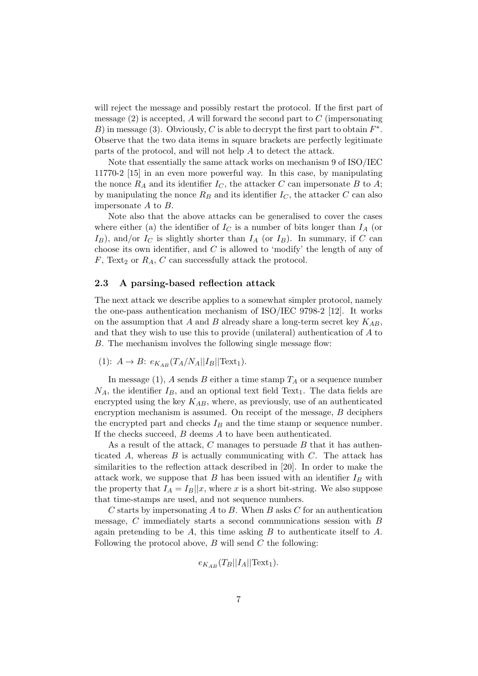will reject the message and possibly restart the protocol. If the first part of message (2) is accepted, *A* will forward the second part to *C* (impersonating *B*) in message (3). Obviously, *C* is able to decrypt the first part to obtain  $F^*$ . Observe that the two data items in square brackets are perfectly legitimate parts of the protocol, and will not help *A* to detect the attack.

Note that essentially the same attack works on mechanism 9 of ISO/IEC 11770-2 [15] in an even more powerful way. In this case, by manipulating the nonce  $R_A$  and its identifier  $I_C$ , the attacker  $C$  can impersonate  $B$  to  $A$ ; by manipulating the nonce  $R_B$  and its identifier  $I_C$ , the attacker  $C$  can also impersonate *A* to *B*.

Note also that the above attacks can be generalised to cover the cases where either (a) the identifier of  $I_C$  is a number of bits longer than  $I_A$  (or  $I_B$ ), and/or  $I_C$  is slightly shorter than  $I_A$  (or  $I_B$ ). In summary, if *C* can choose its own identifier, and *C* is allowed to 'modify' the length of any of  $F$ , Text<sub>2</sub> or  $R_A$ ,  $C$  can successfully attack the protocol.

#### **2.3 A parsing-based reflection attack**

The next attack we describe applies to a somewhat simpler protocol, namely the one-pass authentication mechanism of ISO/IEC 9798-2 [12]. It works on the assumption that *A* and *B* already share a long-term secret key *KAB*, and that they wish to use this to provide (unilateral) authentication of *A* to *B*. The mechanism involves the following single message flow:

 $(1): A \to B: e_{K_{AB}}(T_A/N_A||I_B||\text{Text}_1).$ 

In message  $(1)$ , *A* sends *B* either a time stamp  $T_A$  or a sequence number  $N_A$ , the identifier  $I_B$ , and an optional text field Text<sub>1</sub>. The data fields are encrypted using the key *KAB*, where, as previously, use of an authenticated encryption mechanism is assumed. On receipt of the message, *B* deciphers the encrypted part and checks  $I_B$  and the time stamp or sequence number. If the checks succeed, *B* deems *A* to have been authenticated.

As a result of the attack, *C* manages to persuade *B* that it has authenticated *A*, whereas *B* is actually communicating with *C*. The attack has similarities to the reflection attack described in [20]. In order to make the attack work, we suppose that  $B$  has been issued with an identifier  $I_B$  with the property that  $I_A = I_B||x$ , where *x* is a short bit-string. We also suppose that time-stamps are used, and not sequence numbers.

*C* starts by impersonating *A* to *B*. When *B* asks *C* for an authentication message, *C* immediately starts a second communications session with *B* again pretending to be *A*, this time asking *B* to authenticate itself to *A*. Following the protocol above, *B* will send *C* the following:

$$
e_{K_{AB}}(T_B||I_A||\text{Text}_1).
$$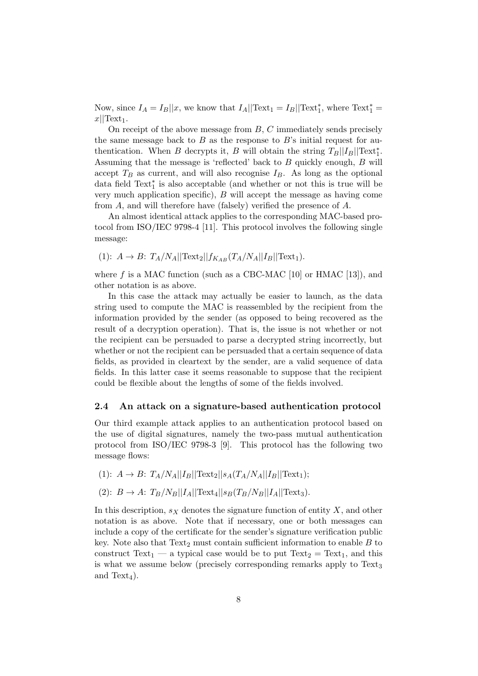Now, since  $I_A = I_B || x$ , we know that  $I_A || \text{Text}_1 = I_B || \text{Text}_1^*$ , where  $\text{Text}_1^* =$  $x$ <sup>|</sup> $Text_1$ .

On receipt of the above message from *B*, *C* immediately sends precisely the same message back to  $B$  as the response to  $B$ 's initial request for authentication. When *B* decrypts it, *B* will obtain the string  $T_B||I_B||\text{Text}_1^*$ . Assuming that the message is 'reflected' back to *B* quickly enough, *B* will accept  $T_B$  as current, and will also recognise  $I_B$ . As long as the optional data field Text*∗* 1 is also acceptable (and whether or not this is true will be very much application specific), *B* will accept the message as having come from *A*, and will therefore have (falsely) verified the presence of *A*.

An almost identical attack applies to the corresponding MAC-based protocol from ISO/IEC 9798-4 [11]. This protocol involves the following single message:

(1): 
$$
A \to B
$$
:  $T_A/N_A || \text{Text}_2 || f_{K_{AB}}(T_A/N_A || I_B || \text{Text}_1)$ .

where  $f$  is a MAC function (such as a CBC-MAC [10] or HMAC [13]), and other notation is as above.

In this case the attack may actually be easier to launch, as the data string used to compute the MAC is reassembled by the recipient from the information provided by the sender (as opposed to being recovered as the result of a decryption operation). That is, the issue is not whether or not the recipient can be persuaded to parse a decrypted string incorrectly, but whether or not the recipient can be persuaded that a certain sequence of data fields, as provided in cleartext by the sender, are a valid sequence of data fields. In this latter case it seems reasonable to suppose that the recipient could be flexible about the lengths of some of the fields involved.

#### **2.4 An attack on a signature-based authentication protocol**

Our third example attack applies to an authentication protocol based on the use of digital signatures, namely the two-pass mutual authentication protocol from ISO/IEC 9798-3 [9]. This protocol has the following two message flows:

 $(1):$   $A \to B: T_A/N_A||I_B||\text{Text}_2||s_A(T_A/N_A||I_B||\text{Text}_1);$ 

(2): 
$$
B \to A
$$
:  $T_B/N_B||I_A||\text{Text}_4||s_B(T_B/N_B||I_A||\text{Text}_3)$ .

In this description,  $s_X$  denotes the signature function of entity  $X$ , and other notation is as above. Note that if necessary, one or both messages can include a copy of the certificate for the sender's signature verification public key. Note also that  $Text_2$  must contain sufficient information to enable  $B$  to construct Text<sub>1</sub> — a typical case would be to put Text<sub>2</sub> = Text<sub>1</sub>, and this is what we assume below (precisely corresponding remarks apply to Text<sub>3</sub> and  $Text<sub>4</sub>$ ).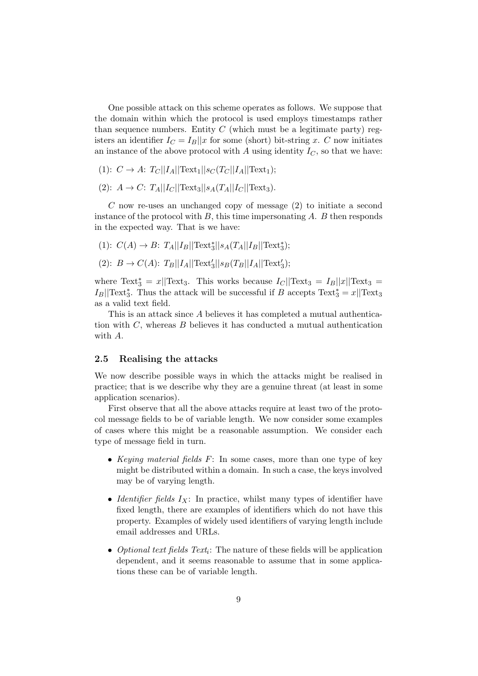One possible attack on this scheme operates as follows. We suppose that the domain within which the protocol is used employs timestamps rather than sequence numbers. Entity  $C$  (which must be a legitimate party) registers an identifier  $I_C = I_B || x$  for some (short) bit-string *x*. *C* now initiates an instance of the above protocol with  $A$  using identity  $I_C$ , so that we have:

- $(1): C \to A: T_C||I_A||\text{Text}_1||s_C(T_C||I_A||\text{Text}_1);$
- $(2):$   $A \to C$ :  $T_A||I_C||\text{Text}_3||s_A(T_A||I_C||\text{Text}_3).$

*C* now re-uses an unchanged copy of message (2) to initiate a second instance of the protocol with *B*, this time impersonating *A*. *B* then responds in the expected way. That is we have:

- $(C(A) \to B: T_A || I_B || \text{Text}^*_3 || s_A (T_A || I_B || \text{Text}^*_3);$
- $(B) : B \to C(A): T_B||I_A||\text{Text}'_3||s_B(T_B||I_A||\text{Text}'_3);$

where Text<sup>\*</sup><sub>3</sub> = *x*||Text<sub>3</sub>. This works because  $I_C$ ||Text<sub>3</sub> =  $I_B$ ||*x*||Text<sub>3</sub> =  $I_B$ ||Text<sup>\*</sup><sub>3</sub>. Thus the attack will be successful if *B* accepts Text<sup>\*</sup><sub>3</sub> = *x*||Text<sub>3</sub> as a valid text field.

This is an attack since *A* believes it has completed a mutual authentication with *C*, whereas *B* believes it has conducted a mutual authentication with *A*.

#### **2.5 Realising the attacks**

We now describe possible ways in which the attacks might be realised in practice; that is we describe why they are a genuine threat (at least in some application scenarios).

First observe that all the above attacks require at least two of the protocol message fields to be of variable length. We now consider some examples of cases where this might be a reasonable assumption. We consider each type of message field in turn.

- *• Keying material fields F*: In some cases, more than one type of key might be distributed within a domain. In such a case, the keys involved may be of varying length.
- *Identifier fields*  $I_X$ : In practice, whilst many types of identifier have fixed length, there are examples of identifiers which do not have this property. Examples of widely used identifiers of varying length include email addresses and URLs.
- *• Optional text fields Text<sup>i</sup>* : The nature of these fields will be application dependent, and it seems reasonable to assume that in some applications these can be of variable length.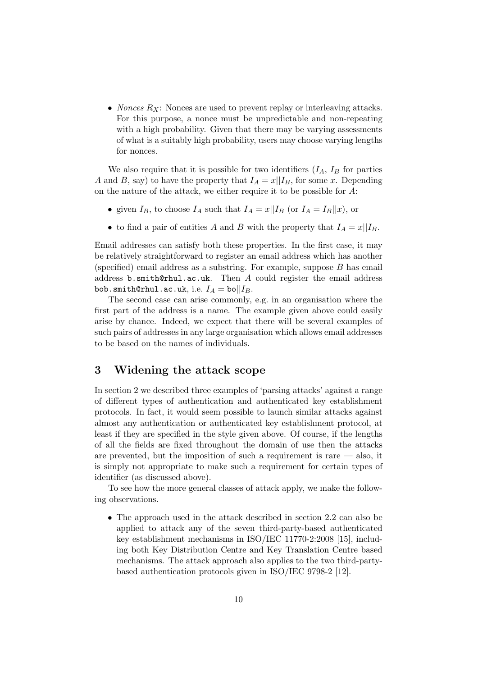*• Nonces RX*: Nonces are used to prevent replay or interleaving attacks. For this purpose, a nonce must be unpredictable and non-repeating with a high probability. Given that there may be varying assessments of what is a suitably high probability, users may choose varying lengths for nonces.

We also require that it is possible for two identifiers  $(I_A, I_B$  for parties *A* and *B*, say) to have the property that  $I_A = x||I_B$ , for some *x*. Depending on the nature of the attack, we either require it to be possible for *A*:

- given  $I_B$ , to choose  $I_A$  such that  $I_A = x||I_B$  (or  $I_A = I_B||x$ ), or
- to find a pair of entities *A* and *B* with the property that  $I_A = x||I_B$ .

Email addresses can satisfy both these properties. In the first case, it may be relatively straightforward to register an email address which has another (specified) email address as a substring. For example, suppose *B* has email address b.smith@rhul.ac.uk. Then *A* could register the email address bob.smith@rhul.ac.uk, i.e.  $I_A = \text{bo} || I_B$ .

The second case can arise commonly, e.g. in an organisation where the first part of the address is a name. The example given above could easily arise by chance. Indeed, we expect that there will be several examples of such pairs of addresses in any large organisation which allows email addresses to be based on the names of individuals.

# **3 Widening the attack scope**

In section 2 we described three examples of 'parsing attacks' against a range of different types of authentication and authenticated key establishment protocols. In fact, it would seem possible to launch similar attacks against almost any authentication or authenticated key establishment protocol, at least if they are specified in the style given above. Of course, if the lengths of all the fields are fixed throughout the domain of use then the attacks are prevented, but the imposition of such a requirement is rare — also, it is simply not appropriate to make such a requirement for certain types of identifier (as discussed above).

To see how the more general classes of attack apply, we make the following observations.

• The approach used in the attack described in section 2.2 can also be applied to attack any of the seven third-party-based authenticated key establishment mechanisms in ISO/IEC 11770-2:2008 [15], including both Key Distribution Centre and Key Translation Centre based mechanisms. The attack approach also applies to the two third-partybased authentication protocols given in ISO/IEC 9798-2 [12].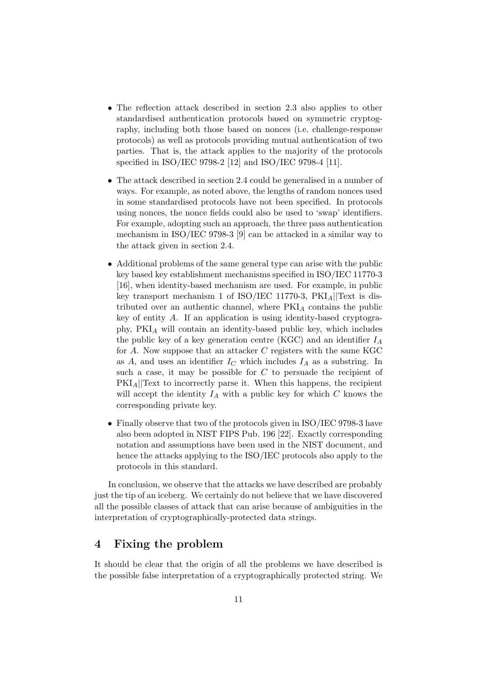- The reflection attack described in section 2.3 also applies to other standardised authentication protocols based on symmetric cryptography, including both those based on nonces (i.e. challenge-response protocols) as well as protocols providing mutual authentication of two parties. That is, the attack applies to the majority of the protocols specified in ISO/IEC 9798-2 [12] and ISO/IEC 9798-4 [11].
- The attack described in section 2.4 could be generalised in a number of ways. For example, as noted above, the lengths of random nonces used in some standardised protocols have not been specified. In protocols using nonces, the nonce fields could also be used to 'swap' identifiers. For example, adopting such an approach, the three pass authentication mechanism in ISO/IEC 9798-3 [9] can be attacked in a similar way to the attack given in section 2.4.
- *•* Additional problems of the same general type can arise with the public key based key establishment mechanisms specified in ISO/IEC 11770-3 [16], when identity-based mechanism are used. For example, in public key transport mechanism 1 of ISO/IEC 11770-3, PKI*A||*Text is distributed over an authentic channel, where PKI*<sup>A</sup>* contains the public key of entity *A*. If an application is using identity-based cryptography, PKI*<sup>A</sup>* will contain an identity-based public key, which includes the public key of a key generation centre (KGC) and an identifier *I<sup>A</sup>* for *A*. Now suppose that an attacker *C* registers with the same KGC as  $A$ , and uses an identifier  $I_C$  which includes  $I_A$  as a substring. In such a case, it may be possible for *C* to persuade the recipient of PKI*A||*Text to incorrectly parse it. When this happens, the recipient will accept the identity  $I_A$  with a public key for which  $C$  knows the corresponding private key.
- Finally observe that two of the protocols given in ISO/IEC 9798-3 have also been adopted in NIST FIPS Pub. 196 [22]. Exactly corresponding notation and assumptions have been used in the NIST document, and hence the attacks applying to the ISO/IEC protocols also apply to the protocols in this standard.

In conclusion, we observe that the attacks we have described are probably just the tip of an iceberg. We certainly do not believe that we have discovered all the possible classes of attack that can arise because of ambiguities in the interpretation of cryptographically-protected data strings.

# **4 Fixing the problem**

It should be clear that the origin of all the problems we have described is the possible false interpretation of a cryptographically protected string. We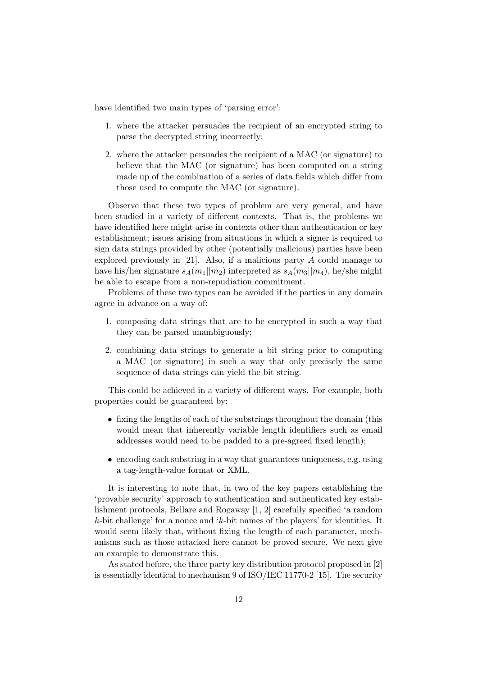have identified two main types of 'parsing error':

- 1. where the attacker persuades the recipient of an encrypted string to parse the decrypted string incorrectly;
- 2. where the attacker persuades the recipient of a MAC (or signature) to believe that the MAC (or signature) has been computed on a string made up of the combination of a series of data fields which differ from those used to compute the MAC (or signature).

Observe that these two types of problem are very general, and have been studied in a variety of different contexts. That is, the problems we have identified here might arise in contexts other than authentication or key establishment; issues arising from situations in which a signer is required to sign data strings provided by other (potentially malicious) parties have been explored previously in [21]. Also, if a malicious party *A* could manage to have his/her signature  $s_A(m_1||m_2)$  interpreted as  $s_A(m_3||m_4)$ , he/she might be able to escape from a non-repudiation commitment.

Problems of these two types can be avoided if the parties in any domain agree in advance on a way of:

- 1. composing data strings that are to be encrypted in such a way that they can be parsed unambiguously;
- 2. combining data strings to generate a bit string prior to computing a MAC (or signature) in such a way that only precisely the same sequence of data strings can yield the bit string.

This could be achieved in a variety of different ways. For example, both properties could be guaranteed by:

- *•* fixing the lengths of each of the substrings throughout the domain (this would mean that inherently variable length identifiers such as email addresses would need to be padded to a pre-agreed fixed length);
- encoding each substring in a way that guarantees uniqueness, e.g. using a tag-length-value format or XML.

It is interesting to note that, in two of the key papers establishing the 'provable security' approach to authentication and authenticated key establishment protocols, Bellare and Rogaway [1, 2] carefully specified 'a random *k*-bit challenge' for a nonce and '*k*-bit names of the players' for identities. It would seem likely that, without fixing the length of each parameter, mechanisms such as those attacked here cannot be proved secure. We next give an example to demonstrate this.

As stated before, the three party key distribution protocol proposed in [2] is essentially identical to mechanism 9 of ISO/IEC 11770-2 [15]. The security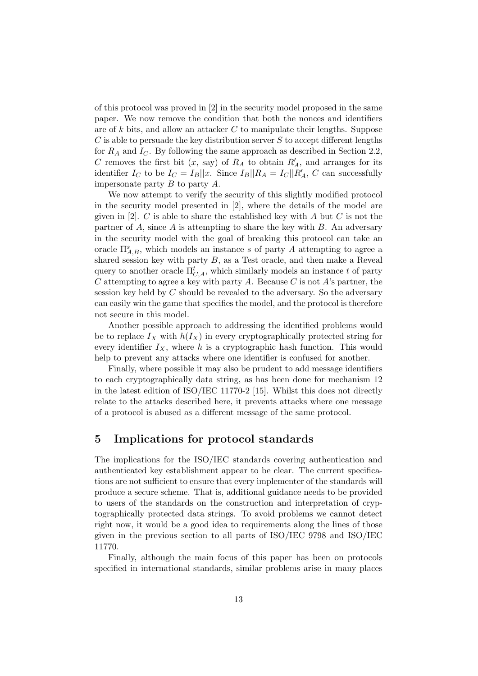of this protocol was proved in [2] in the security model proposed in the same paper. We now remove the condition that both the nonces and identifiers are of *k* bits, and allow an attacker *C* to manipulate their lengths. Suppose *C* is able to persuade the key distribution server *S* to accept different lengths for *R<sup>A</sup>* and *IC*. By following the same approach as described in Section 2.2, *C* removes the first bit  $(x, say)$  of  $R_A$  to obtain  $R'_A$ , and arranges for its identifier  $I_C$  to be  $I_C = I_B ||x$ . Since  $I_B || R_A = I_C || R'_A$ , *C* can successfully impersonate party *B* to party *A*.

We now attempt to verify the security of this slightly modified protocol in the security model presented in [2], where the details of the model are given in [2]. *C* is able to share the established key with *A* but *C* is not the partner of *A*, since *A* is attempting to share the key with *B*. An adversary in the security model with the goal of breaking this protocol can take an oracle  $\Pi_{A,B}^s$ , which models an instance *s* of party *A* attempting to agree a shared session key with party *B*, as a Test oracle, and then make a Reveal query to another oracle  $\Pi_{C,A}^t$ , which similarly models an instance *t* of party *C* attempting to agree a key with party *A*. Because *C* is not *A*'s partner, the session key held by *C* should be revealed to the adversary. So the adversary can easily win the game that specifies the model, and the protocol is therefore not secure in this model.

Another possible approach to addressing the identified problems would be to replace  $I_X$  with  $h(I_X)$  in every cryptographically protected string for every identifier  $I_X$ , where  $h$  is a cryptographic hash function. This would help to prevent any attacks where one identifier is confused for another.

Finally, where possible it may also be prudent to add message identifiers to each cryptographically data string, as has been done for mechanism 12 in the latest edition of ISO/IEC 11770-2 [15]. Whilst this does not directly relate to the attacks described here, it prevents attacks where one message of a protocol is abused as a different message of the same protocol.

### **5 Implications for protocol standards**

The implications for the ISO/IEC standards covering authentication and authenticated key establishment appear to be clear. The current specifications are not sufficient to ensure that every implementer of the standards will produce a secure scheme. That is, additional guidance needs to be provided to users of the standards on the construction and interpretation of cryptographically protected data strings. To avoid problems we cannot detect right now, it would be a good idea to requirements along the lines of those given in the previous section to all parts of ISO/IEC 9798 and ISO/IEC 11770.

Finally, although the main focus of this paper has been on protocols specified in international standards, similar problems arise in many places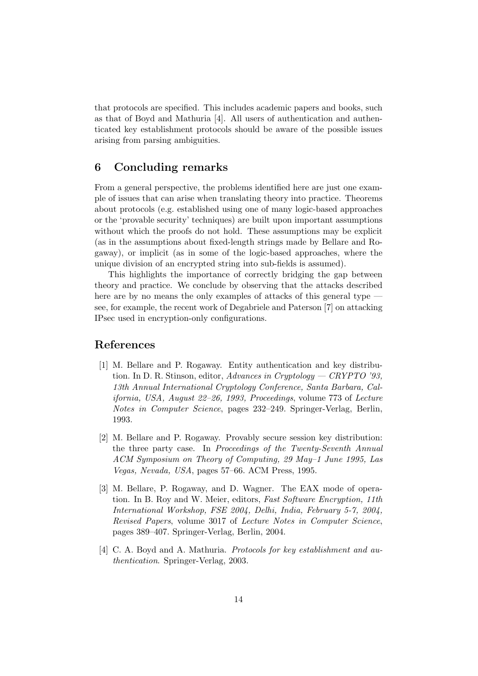that protocols are specified. This includes academic papers and books, such as that of Boyd and Mathuria [4]. All users of authentication and authenticated key establishment protocols should be aware of the possible issues arising from parsing ambiguities.

# **6 Concluding remarks**

From a general perspective, the problems identified here are just one example of issues that can arise when translating theory into practice. Theorems about protocols (e.g. established using one of many logic-based approaches or the 'provable security' techniques) are built upon important assumptions without which the proofs do not hold. These assumptions may be explicit (as in the assumptions about fixed-length strings made by Bellare and Rogaway), or implicit (as in some of the logic-based approaches, where the unique division of an encrypted string into sub-fields is assumed).

This highlights the importance of correctly bridging the gap between theory and practice. We conclude by observing that the attacks described here are by no means the only examples of attacks of this general type see, for example, the recent work of Degabriele and Paterson [7] on attacking IPsec used in encryption-only configurations.

### **References**

- [1] M. Bellare and P. Rogaway. Entity authentication and key distribution. In D. R. Stinson, editor, *Advances in Cryptology — CRYPTO '93, 13th Annual International Cryptology Conference, Santa Barbara, California, USA, August 22–26, 1993, Proceedings*, volume 773 of *Lecture Notes in Computer Science*, pages 232–249. Springer-Verlag, Berlin, 1993.
- [2] M. Bellare and P. Rogaway. Provably secure session key distribution: the three party case. In *Proceedings of the Twenty-Seventh Annual ACM Symposium on Theory of Computing, 29 May–1 June 1995, Las Vegas, Nevada, USA*, pages 57–66. ACM Press, 1995.
- [3] M. Bellare, P. Rogaway, and D. Wagner. The EAX mode of operation. In B. Roy and W. Meier, editors, *Fast Software Encryption, 11th International Workshop, FSE 2004, Delhi, India, February 5-7, 2004, Revised Papers*, volume 3017 of *Lecture Notes in Computer Science*, pages 389–407. Springer-Verlag, Berlin, 2004.
- [4] C. A. Boyd and A. Mathuria. *Protocols for key establishment and authentication*. Springer-Verlag, 2003.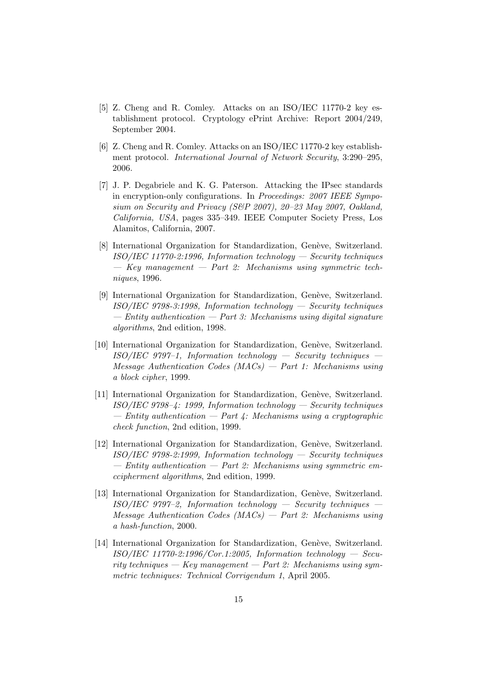- [5] Z. Cheng and R. Comley. Attacks on an ISO/IEC 11770-2 key establishment protocol. Cryptology ePrint Archive: Report 2004/249, September 2004.
- [6] Z. Cheng and R. Comley. Attacks on an ISO/IEC 11770-2 key establishment protocol. *International Journal of Network Security*, 3:290–295, 2006.
- [7] J. P. Degabriele and K. G. Paterson. Attacking the IPsec standards in encryption-only configurations. In *Proceedings: 2007 IEEE Symposium on Security and Privacy (S&P 2007), 20–23 May 2007, Oakland, California, USA*, pages 335–349. IEEE Computer Society Press, Los Alamitos, California, 2007.
- [8] International Organization for Standardization, Genève, Switzerland. *ISO/IEC 11770-2:1996, Information technology — Security techniques — Key management — Part 2: Mechanisms using symmetric techniques*, 1996.
- [9] International Organization for Standardization, Genève, Switzerland. *ISO/IEC 9798-3:1998, Information technology — Security techniques — Entity authentication — Part 3: Mechanisms using digital signature algorithms*, 2nd edition, 1998.
- [10] International Organization for Standardization, Genève, Switzerland. *ISO/IEC 9797–1, Information technology — Security techniques — Message Authentication Codes (MACs) — Part 1: Mechanisms using a block cipher*, 1999.
- [11] International Organization for Standardization, Genève, Switzerland. *ISO/IEC 9798–4: 1999, Information technology — Security techniques — Entity authentication — Part 4: Mechanisms using a cryptographic check function*, 2nd edition, 1999.
- [12] International Organization for Standardization, Genève, Switzerland. *ISO/IEC 9798-2:1999, Information technology — Security techniques — Entity authentication — Part 2: Mechanisms using symmetric emccipherment algorithms*, 2nd edition, 1999.
- [13] International Organization for Standardization, Genève, Switzerland. *ISO/IEC 9797–2, Information technology — Security techniques — Message Authentication Codes (MACs) — Part 2: Mechanisms using a hash-function*, 2000.
- [14] International Organization for Standardization, Genève, Switzerland. *ISO/IEC 11770-2:1996/Cor.1:2005, Information technology — Security techniques — Key management — Part 2: Mechanisms using symmetric techniques: Technical Corrigendum 1*, April 2005.